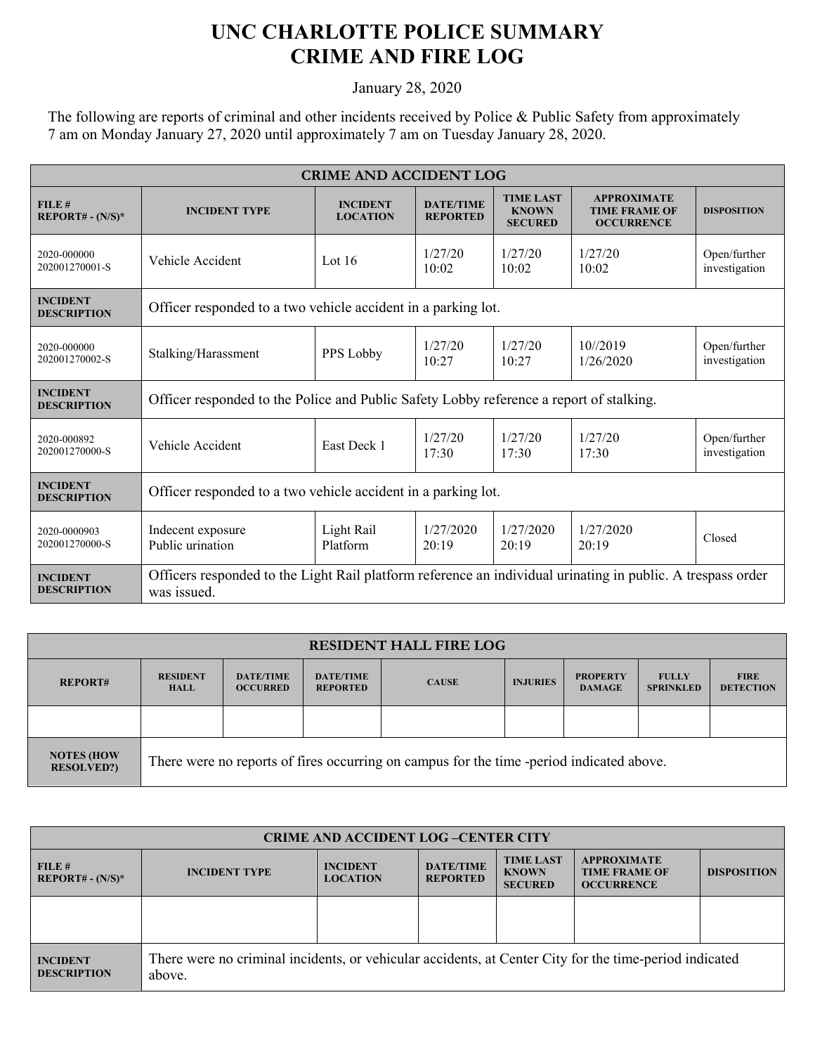## **UNC CHARLOTTE POLICE SUMMARY CRIME AND FIRE LOG**

January 28, 2020

The following are reports of criminal and other incidents received by Police & Public Safety from approximately 7 am on Monday January 27, 2020 until approximately 7 am on Tuesday January 28, 2020.

| <b>CRIME AND ACCIDENT LOG</b>         |                                                                                                                            |                                    |                                     |                                                    |                                                                 |                               |  |
|---------------------------------------|----------------------------------------------------------------------------------------------------------------------------|------------------------------------|-------------------------------------|----------------------------------------------------|-----------------------------------------------------------------|-------------------------------|--|
| FILE#<br>$REPORT# - (N/S)*$           | <b>INCIDENT TYPE</b>                                                                                                       | <b>INCIDENT</b><br><b>LOCATION</b> | <b>DATE/TIME</b><br><b>REPORTED</b> | <b>TIME LAST</b><br><b>KNOWN</b><br><b>SECURED</b> | <b>APPROXIMATE</b><br><b>TIME FRAME OF</b><br><b>OCCURRENCE</b> | <b>DISPOSITION</b>            |  |
| 2020-000000<br>202001270001-S         | Vehicle Accident                                                                                                           | Lot $16$                           | 1/27/20<br>10:02                    | 1/27/20<br>10:02                                   | 1/27/20<br>10:02                                                | Open/further<br>investigation |  |
| <b>INCIDENT</b><br><b>DESCRIPTION</b> | Officer responded to a two vehicle accident in a parking lot.                                                              |                                    |                                     |                                                    |                                                                 |                               |  |
| 2020-000000<br>202001270002-S         | Stalking/Harassment                                                                                                        | PPS Lobby                          | 1/27/20<br>10:27                    | 1/2.7/2.0<br>10:27                                 | $10^{1/2019}$<br>1/26/2020                                      | Open/further<br>investigation |  |
| <b>INCIDENT</b><br><b>DESCRIPTION</b> | Officer responded to the Police and Public Safety Lobby reference a report of stalking.                                    |                                    |                                     |                                                    |                                                                 |                               |  |
| 2020-000892<br>202001270000-S         | Vehicle Accident                                                                                                           | East Deck 1                        | 1/27/20<br>17:30                    | 1/27/20<br>17:30                                   | 1/27/20<br>17:30                                                | Open/further<br>investigation |  |
| <b>INCIDENT</b><br><b>DESCRIPTION</b> | Officer responded to a two vehicle accident in a parking lot.                                                              |                                    |                                     |                                                    |                                                                 |                               |  |
| 2020-0000903<br>202001270000-S        | Indecent exposure<br>Public urination                                                                                      | Light Rail<br>Platform             | 1/27/2020<br>20:19                  | 1/27/2020<br>20:19                                 | 1/27/2020<br>20:19                                              | Closed                        |  |
| <b>INCIDENT</b><br><b>DESCRIPTION</b> | Officers responded to the Light Rail platform reference an individual urinating in public. A trespass order<br>was issued. |                                    |                                     |                                                    |                                                                 |                               |  |

| <b>RESIDENT HALL FIRE LOG</b>          |                                                                                          |                                     |                                     |              |                 |                                  |                                  |                                 |
|----------------------------------------|------------------------------------------------------------------------------------------|-------------------------------------|-------------------------------------|--------------|-----------------|----------------------------------|----------------------------------|---------------------------------|
| <b>REPORT#</b>                         | <b>RESIDENT</b><br><b>HALL</b>                                                           | <b>DATE/TIME</b><br><b>OCCURRED</b> | <b>DATE/TIME</b><br><b>REPORTED</b> | <b>CAUSE</b> | <b>INJURIES</b> | <b>PROPERTY</b><br><b>DAMAGE</b> | <b>FULLY</b><br><b>SPRINKLED</b> | <b>FIRE</b><br><b>DETECTION</b> |
|                                        |                                                                                          |                                     |                                     |              |                 |                                  |                                  |                                 |
| <b>NOTES (HOW</b><br><b>RESOLVED?)</b> | There were no reports of fires occurring on campus for the time -period indicated above. |                                     |                                     |              |                 |                                  |                                  |                                 |

| <b>CRIME AND ACCIDENT LOG-CENTER CITY</b> |                                                                                                                  |                                    |                                     |                                                    |                                                                 |                    |
|-------------------------------------------|------------------------------------------------------------------------------------------------------------------|------------------------------------|-------------------------------------|----------------------------------------------------|-----------------------------------------------------------------|--------------------|
| FILE#<br>$REPORT# - (N/S)*$               | <b>INCIDENT TYPE</b>                                                                                             | <b>INCIDENT</b><br><b>LOCATION</b> | <b>DATE/TIME</b><br><b>REPORTED</b> | <b>TIME LAST</b><br><b>KNOWN</b><br><b>SECURED</b> | <b>APPROXIMATE</b><br><b>TIME FRAME OF</b><br><b>OCCURRENCE</b> | <b>DISPOSITION</b> |
|                                           |                                                                                                                  |                                    |                                     |                                                    |                                                                 |                    |
| <b>INCIDENT</b><br><b>DESCRIPTION</b>     | There were no criminal incidents, or vehicular accidents, at Center City for the time-period indicated<br>above. |                                    |                                     |                                                    |                                                                 |                    |